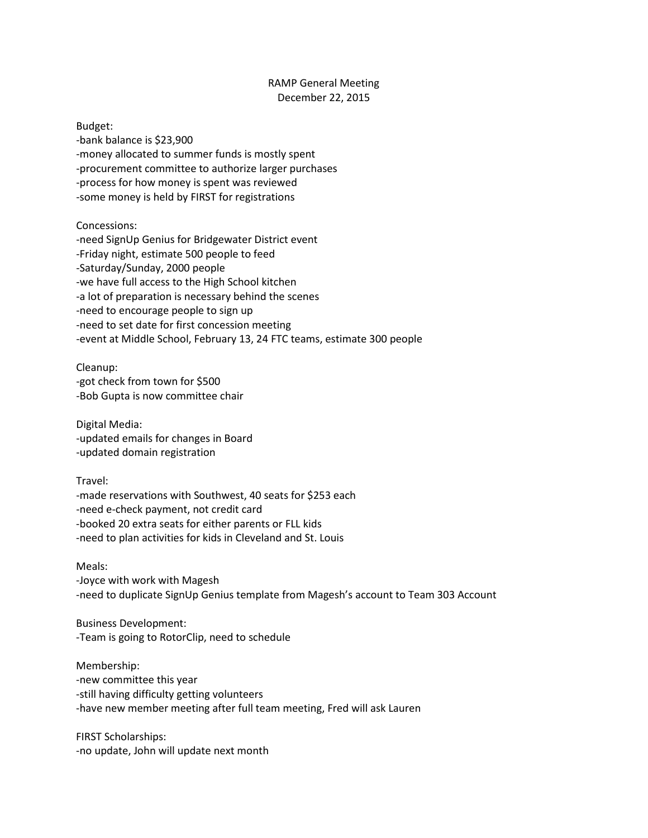## RAMP General Meeting December 22, 2015

Budget: -bank balance is \$23,900 -money allocated to summer funds is mostly spent -procurement committee to authorize larger purchases -process for how money is spent was reviewed -some money is held by FIRST for registrations

Concessions:

-need SignUp Genius for Bridgewater District event -Friday night, estimate 500 people to feed -Saturday/Sunday, 2000 people -we have full access to the High School kitchen -a lot of preparation is necessary behind the scenes -need to encourage people to sign up -need to set date for first concession meeting -event at Middle School, February 13, 24 FTC teams, estimate 300 people

Cleanup: -got check from town for \$500 -Bob Gupta is now committee chair

Digital Media: -updated emails for changes in Board -updated domain registration

Travel:

-made reservations with Southwest, 40 seats for \$253 each -need e-check payment, not credit card -booked 20 extra seats for either parents or FLL kids -need to plan activities for kids in Cleveland and St. Louis

Meals:

-Joyce with work with Magesh -need to duplicate SignUp Genius template from Magesh's account to Team 303 Account

Business Development: -Team is going to RotorClip, need to schedule

Membership: -new committee this year -still having difficulty getting volunteers -have new member meeting after full team meeting, Fred will ask Lauren

FIRST Scholarships: -no update, John will update next month